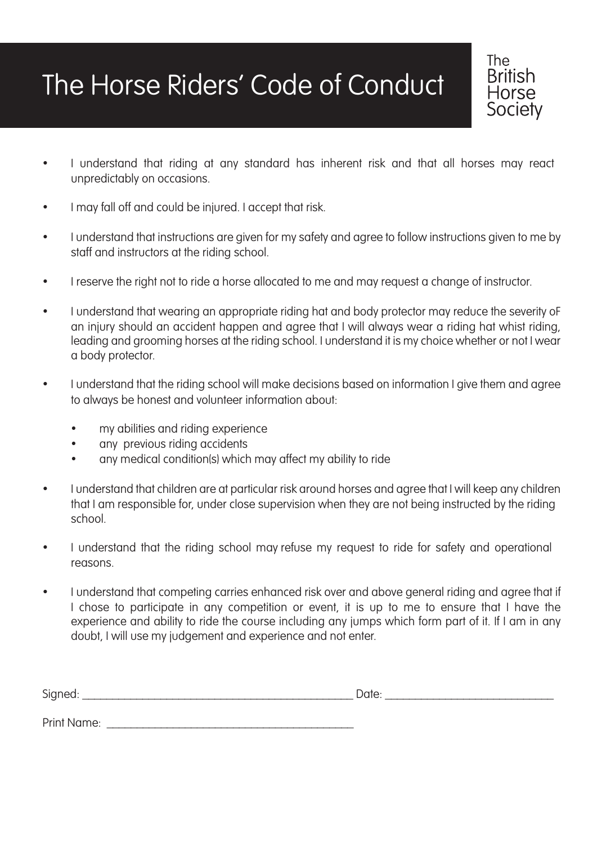## The Horse Riders' Code of Conduct

• I understand that riding at any standard has inherent risk and that all horses may react unpredictably on occasions.

**The British** Horse Society

- I may fall off and could be injured. I accept that risk.
- I understand that instructions are given for my safety and agree to follow instructions given to me by staff and instructors at the riding school.
- I reserve the right not to ride a horse allocated to me and may request a change of instructor.
- I understand that wearing an appropriate riding hat and body protector may reduce the severity of an injury should an accident happen and agree that I will always wear a riding hat whist riding, leading and grooming horses at the riding school. I understand it is my choice whether or not I wear a body protector.
- I understand that the riding school will make decisions based on information I give them and agree to always be honest and volunteer information about:
	- my abilities and riding experience
	- any previous riding accidents
	- any medical condition(s) which may affect my ability to ride
- I understand that children are at particular risk around horses and agree that I will keep any children that I am responsible for, under close supervision when they are not being instructed by the riding school.
- I understand that the riding school may refuse my request to ride for safety and operational reasons.
- I understand that competing carries enhanced risk over and above general riding and agree that if I chose to participate in any competition or event, it is up to me to ensure that I have the experience and ability to ride the course including any jumps which form part of it. If I am in any doubt, I will use my judgement and experience and not enter.

| $\sim$<br>ור<br> | $\sim$ |
|------------------|--------|
|                  |        |

Print Name: